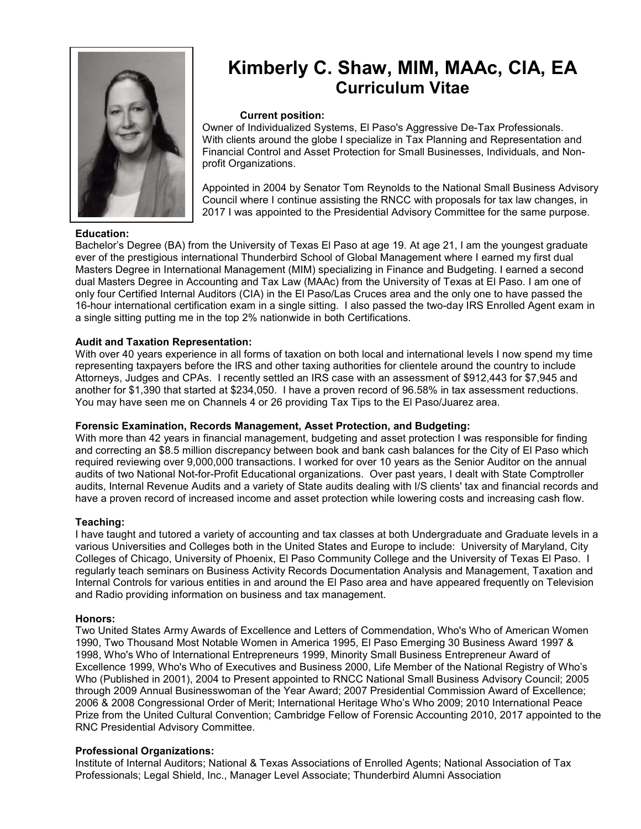

## **Education:**

# **Kimberly C. Shaw, MIM, MAAc, CIA, EA Curriculum Vitae**

#### **Current position:**

Owner of Individualized Systems, El Paso's Aggressive De-Tax Professionals. With clients around the globe I specialize in Tax Planning and Representation and Financial Control and Asset Protection for Small Businesses, Individuals, and Nonprofit Organizations.

 Appointed in 2004 by Senator Tom Reynolds to the National Small Business Advisory Council where I continue assisting the RNCC with proposals for tax law changes, in 2017 I was appointed to the Presidential Advisory Committee for the same purpose.

Bachelor's Degree (BA) from the University of Texas El Paso at age 19. At age 21, I am the youngest graduate ever of the prestigious international Thunderbird School of Global Management where I earned my first dual Masters Degree in International Management (MIM) specializing in Finance and Budgeting. I earned a second dual Masters Degree in Accounting and Tax Law (MAAc) from the University of Texas at El Paso. I am one of only four Certified Internal Auditors (CIA) in the El Paso/Las Cruces area and the only one to have passed the 16-hour international certification exam in a single sitting. I also passed the two-day IRS Enrolled Agent exam in a single sitting putting me in the top 2% nationwide in both Certifications.

## **Audit and Taxation Representation:**

With over 40 years experience in all forms of taxation on both local and international levels I now spend my time representing taxpayers before the IRS and other taxing authorities for clientele around the country to include Attorneys, Judges and CPAs. I recently settled an IRS case with an assessment of \$912,443 for \$7,945 and another for \$1,390 that started at \$234,050. I have a proven record of 96.58% in tax assessment reductions. You may have seen me on Channels 4 or 26 providing Tax Tips to the El Paso/Juarez area.

#### **Forensic Examination, Records Management, Asset Protection, and Budgeting:**

With more than 42 years in financial management, budgeting and asset protection I was responsible for finding and correcting an \$8.5 million discrepancy between book and bank cash balances for the City of El Paso which required reviewing over 9,000,000 transactions. I worked for over 10 years as the Senior Auditor on the annual audits of two National Not-for-Profit Educational organizations. Over past years, I dealt with State Comptroller audits, Internal Revenue Audits and a variety of State audits dealing with I/S clients' tax and financial records and have a proven record of increased income and asset protection while lowering costs and increasing cash flow.

#### **Teaching:**

I have taught and tutored a variety of accounting and tax classes at both Undergraduate and Graduate levels in a various Universities and Colleges both in the United States and Europe to include: University of Maryland, City Colleges of Chicago, University of Phoenix, El Paso Community College and the University of Texas El Paso. I regularly teach seminars on Business Activity Records Documentation Analysis and Management, Taxation and Internal Controls for various entities in and around the El Paso area and have appeared frequently on Television and Radio providing information on business and tax management.

#### **Honors:**

Two United States Army Awards of Excellence and Letters of Commendation, Who's Who of American Women 1990, Two Thousand Most Notable Women in America 1995, El Paso Emerging 30 Business Award 1997 & 1998, Who's Who of International Entrepreneurs 1999, Minority Small Business Entrepreneur Award of Excellence 1999, Who's Who of Executives and Business 2000, Life Member of the National Registry of Who's Who (Published in 2001), 2004 to Present appointed to RNCC National Small Business Advisory Council; 2005 through 2009 Annual Businesswoman of the Year Award; 2007 Presidential Commission Award of Excellence; 2006 & 2008 Congressional Order of Merit; International Heritage Who's Who 2009; 2010 International Peace Prize from the United Cultural Convention; Cambridge Fellow of Forensic Accounting 2010, 2017 appointed to the RNC Presidential Advisory Committee.

## **Professional Organizations:**

Institute of Internal Auditors; National & Texas Associations of Enrolled Agents; National Association of Tax Professionals; Legal Shield, Inc., Manager Level Associate; Thunderbird Alumni Association